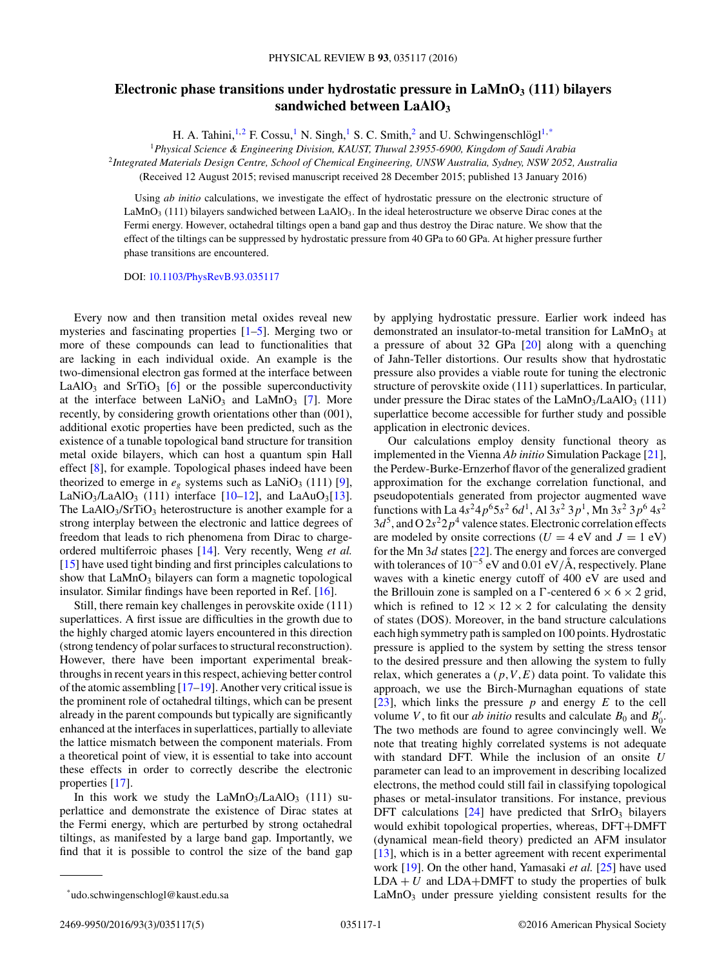## **Electronic phase transitions under hydrostatic pressure in LaMnO3 (111) bilayers sandwiched between LaAlO3**

H. A. Tahini,<sup>1,2</sup> F. Cossu,<sup>1</sup> N. Singh,<sup>1</sup> S. C. Smith,<sup>2</sup> and U. Schwingenschlögl<sup>1,\*</sup>

<sup>1</sup>*Physical Science & Engineering Division, KAUST, Thuwal 23955-6900, Kingdom of Saudi Arabia* <sup>2</sup>*Integrated Materials Design Centre, School of Chemical Engineering, UNSW Australia, Sydney, NSW 2052, Australia*

(Received 12 August 2015; revised manuscript received 28 December 2015; published 13 January 2016)

Using *ab initio* calculations, we investigate the effect of hydrostatic pressure on the electronic structure of LaMnO<sub>3</sub> (111) bilayers sandwiched between LaAlO<sub>3</sub>. In the ideal heterostructure we observe Dirac cones at the Fermi energy. However, octahedral tiltings open a band gap and thus destroy the Dirac nature. We show that the effect of the tiltings can be suppressed by hydrostatic pressure from 40 GPa to 60 GPa. At higher pressure further phase transitions are encountered.

DOI: [10.1103/PhysRevB.93.035117](http://dx.doi.org/10.1103/PhysRevB.93.035117)

Every now and then transition metal oxides reveal new mysteries and fascinating properties [\[1–5\]](#page-3-0). Merging two or more of these compounds can lead to functionalities that are lacking in each individual oxide. An example is the two-dimensional electron gas formed at the interface between LaAlO<sub>3</sub> and SrTiO<sub>3</sub> [\[6\]](#page-3-0) or the possible superconductivity at the interface between  $\text{LaNiO}_3$  and  $\text{LaMnO}_3$  [\[7\]](#page-3-0). More recently, by considering growth orientations other than (001), additional exotic properties have been predicted, such as the existence of a tunable topological band structure for transition metal oxide bilayers, which can host a quantum spin Hall effect [\[8\]](#page-3-0), for example. Topological phases indeed have been theorized to emerge in  $e_g$  systems such as LaNiO<sub>3</sub> (111) [\[9\]](#page-3-0), LaNiO<sub>3</sub>/LaAlO<sub>3</sub> (111) interface [\[10–12\]](#page-3-0), and LaAuO<sub>3</sub>[\[13\]](#page-3-0). The LaAlO<sub>3</sub>/SrTiO<sub>3</sub> heterostructure is another example for a strong interplay between the electronic and lattice degrees of freedom that leads to rich phenomena from Dirac to chargeordered multiferroic phases [\[14\]](#page-3-0). Very recently, Weng *et al.* [\[15\]](#page-3-0) have used tight binding and first principles calculations to show that  $LaMnO<sub>3</sub>$  bilayers can form a magnetic topological insulator. Similar findings have been reported in Ref. [\[16\]](#page-3-0).

Still, there remain key challenges in perovskite oxide (111) superlattices. A first issue are difficulties in the growth due to the highly charged atomic layers encountered in this direction (strong tendency of polar surfaces to structural reconstruction). However, there have been important experimental breakthroughs in recent years in this respect, achieving better control of the atomic assembling [\[17–19\]](#page-3-0). Another very critical issue is the prominent role of octahedral tiltings, which can be present already in the parent compounds but typically are significantly enhanced at the interfaces in superlattices, partially to alleviate the lattice mismatch between the component materials. From a theoretical point of view, it is essential to take into account these effects in order to correctly describe the electronic properties [\[17\]](#page-3-0).

In this work we study the  $LaMnO<sub>3</sub>/LaAlO<sub>3</sub>$  (111) superlattice and demonstrate the existence of Dirac states at the Fermi energy, which are perturbed by strong octahedral tiltings, as manifested by a large band gap. Importantly, we find that it is possible to control the size of the band gap by applying hydrostatic pressure. Earlier work indeed has demonstrated an insulator-to-metal transition for  $LaMnO<sub>3</sub>$  at a pressure of about 32 GPa [\[20\]](#page-3-0) along with a quenching of Jahn-Teller distortions. Our results show that hydrostatic pressure also provides a viable route for tuning the electronic structure of perovskite oxide (111) superlattices. In particular, under pressure the Dirac states of the  $LaMnO<sub>3</sub>/LaAlO<sub>3</sub>$  (111) superlattice become accessible for further study and possible application in electronic devices.

Our calculations employ density functional theory as implemented in the Vienna *Ab initio* Simulation Package [\[21\]](#page-3-0), the Perdew-Burke-Ernzerhof flavor of the generalized gradient approximation for the exchange correlation functional, and pseudopotentials generated from projector augmented wave functions with La  $4s^24p^65s^2$  6d<sup>1</sup>, Al  $3s^2 3p^1$ , Mn  $3s^2 3p^6 4s^2$  $3d^5$ , and O  $2s^22p^4$  valence states. Electronic correlation effects are modeled by onsite corrections ( $U = 4$  eV and  $J = 1$  eV) for the Mn 3*d* states [\[22\]](#page-3-0). The energy and forces are converged with tolerances of 10<sup>-5</sup> eV and 0.01 eV/Å, respectively. Plane waves with a kinetic energy cutoff of 400 eV are used and the Brillouin zone is sampled on a  $\Gamma$ -centered  $6 \times 6 \times 2$  grid, which is refined to  $12 \times 12 \times 2$  for calculating the density of states (DOS). Moreover, in the band structure calculations each high symmetry path is sampled on 100 points. Hydrostatic pressure is applied to the system by setting the stress tensor to the desired pressure and then allowing the system to fully relax, which generates a  $(p, V, E)$  data point. To validate this approach, we use the Birch-Murnaghan equations of state [\[23\]](#page-3-0), which links the pressure *p* and energy *E* to the cell volume *V*, to fit our *ab initio* results and calculate  $B_0$  and  $B'_0$ . The two methods are found to agree convincingly well. We note that treating highly correlated systems is not adequate with standard DFT. While the inclusion of an onsite *U* parameter can lead to an improvement in describing localized electrons, the method could still fail in classifying topological phases or metal-insulator transitions. For instance, previous DFT calculations  $[24]$  have predicted that SrIrO<sub>3</sub> bilayers would exhibit topological properties, whereas, DFT+DMFT (dynamical mean-field theory) predicted an AFM insulator [\[13\]](#page-3-0), which is in a better agreement with recent experimental work [\[19\]](#page-3-0). On the other hand, Yamasaki *et al.* [\[25\]](#page-3-0) have used  $LDA + U$  and  $LDA+DMFT$  to study the properties of bulk LaMnO<sub>3</sub> under pressure yielding consistent results for the

<sup>\*</sup>udo.schwingenschlogl@kaust.edu.sa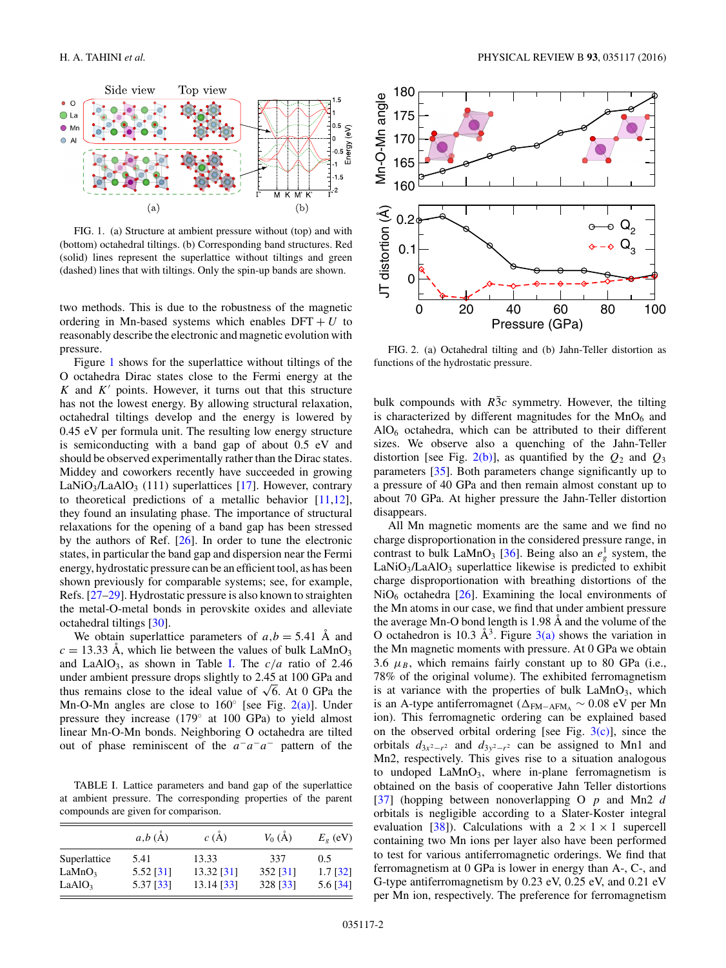<span id="page-1-0"></span>

FIG. 1. (a) Structure at ambient pressure without (top) and with (bottom) octahedral tiltings. (b) Corresponding band structures. Red (solid) lines represent the superlattice without tiltings and green (dashed) lines that with tiltings. Only the spin-up bands are shown.

two methods. This is due to the robustness of the magnetic ordering in Mn-based systems which enables  $DFT + U$  to reasonably describe the electronic and magnetic evolution with pressure.

Figure 1 shows for the superlattice without tiltings of the O octahedra Dirac states close to the Fermi energy at the  $K$  and  $K'$  points. However, it turns out that this structure has not the lowest energy. By allowing structural relaxation, octahedral tiltings develop and the energy is lowered by 0.45 eV per formula unit. The resulting low energy structure is semiconducting with a band gap of about 0.5 eV and should be observed experimentally rather than the Dirac states. Middey and coworkers recently have succeeded in growing LaNiO<sub>3</sub>/LaAlO<sub>3</sub> (111) superlattices [\[17\]](#page-3-0). However, contrary to theoretical predictions of a metallic behavior  $[11,12]$ , they found an insulating phase. The importance of structural relaxations for the opening of a band gap has been stressed by the authors of Ref. [\[26\]](#page-3-0). In order to tune the electronic states, in particular the band gap and dispersion near the Fermi energy, hydrostatic pressure can be an efficient tool, as has been shown previously for comparable systems; see, for example, Refs. [\[27–29\]](#page-3-0). Hydrostatic pressure is also known to straighten the metal-O-metal bonds in perovskite oxides and alleviate octahedral tiltings [\[30\]](#page-3-0).

We obtain superlattice parameters of  $a, b = 5.41$  Å and  $c = 13.33$  Å, which lie between the values of bulk  $LaMnO<sub>3</sub>$ and LaAlO<sub>3</sub>, as shown in Table I. The  $c/a$  ratio of 2.46 under ambient pressure drops slightly to 2.45 at 100 GPa and thus remains close to the ideal value of  $\sqrt{6}$ . At 0 GPa the Mn-O-Mn angles are close to  $160°$  [see Fig. 2(a)]. Under pressure they increase (179◦ at 100 GPa) to yield almost linear Mn-O-Mn bonds. Neighboring O octahedra are tilted out of phase reminiscent of the *a*−*a*−*a*<sup>−</sup> pattern of the

TABLE I. Lattice parameters and band gap of the superlattice at ambient pressure. The corresponding properties of the parent compounds are given for comparison.

|                    | a,b(A)    | $c(\AA)$   | $V_0(\AA)$ | $E_{g}$ (eV) |
|--------------------|-----------|------------|------------|--------------|
| Superlattice       | 5.41      | 13.33      | 337        | 0.5          |
| LaMnO <sub>3</sub> | 5.52 [31] | 13.32 [31] | 352 [31]   | $1.7$ [32]   |
| LaAlO <sub>3</sub> | 5.37 [33] | 13.14 [33] | 328 [33]   | 5.6 $[34]$   |



FIG. 2. (a) Octahedral tilting and (b) Jahn-Teller distortion as functions of the hydrostatic pressure.

bulk compounds with  $R\bar{3}c$  symmetry. However, the tilting is characterized by different magnitudes for the  $MnO<sub>6</sub>$  and  $AIO<sub>6</sub> octahedra, which can be attributed to their different$ sizes. We observe also a quenching of the Jahn-Teller distortion [see Fig.  $2(b)$ ], as quantified by the  $Q_2$  and  $Q_3$ parameters [\[35\]](#page-4-0). Both parameters change significantly up to a pressure of 40 GPa and then remain almost constant up to about 70 GPa. At higher pressure the Jahn-Teller distortion disappears.

All Mn magnetic moments are the same and we find no charge disproportionation in the considered pressure range, in contrast to bulk LaMnO<sub>3</sub> [\[36\]](#page-4-0). Being also an  $e_g^1$  system, the  $LaNiO<sub>3</sub>/LaAlO<sub>3</sub> superlattice likewise is predicted to exhibit$ charge disproportionation with breathing distortions of the  $NiO<sub>6</sub>$  octahedra [\[26\]](#page-3-0). Examining the local environments of the Mn atoms in our case, we find that under ambient pressure the average Mn-O bond length is  $1.98 \text{ Å}$  and the volume of the O octahedron is 10.3  $\AA^3$ . Figure [3\(a\)](#page-2-0) shows the variation in the Mn magnetic moments with pressure. At 0 GPa we obtain 3.6  $\mu_B$ , which remains fairly constant up to 80 GPa (i.e., 78% of the original volume). The exhibited ferromagnetism is at variance with the properties of bulk  $\text{LaMnO}_3$ , which is an A-type antiferromagnet (FM−AFMA ∼ 0*.*08 eV per Mn ion). This ferromagnetic ordering can be explained based on the observed orbital ordering [see Fig.  $3(c)$ ], since the orbitals  $d_{3x^2-r^2}$  and  $d_{3y^2-r^2}$  can be assigned to Mn1 and Mn2, respectively. This gives rise to a situation analogous to undoped  $\text{LaMnO}_3$ , where in-plane ferromagnetism is obtained on the basis of cooperative Jahn Teller distortions [\[37\]](#page-4-0) (hopping between nonoverlapping O *p* and Mn2 *d* orbitals is negligible according to a Slater-Koster integral evaluation [\[38\]](#page-4-0)). Calculations with a  $2 \times 1 \times 1$  supercell containing two Mn ions per layer also have been performed to test for various antiferromagnetic orderings. We find that ferromagnetism at 0 GPa is lower in energy than A-, C-, and G-type antiferromagnetism by 0.23 eV, 0.25 eV, and 0.21 eV per Mn ion, respectively. The preference for ferromagnetism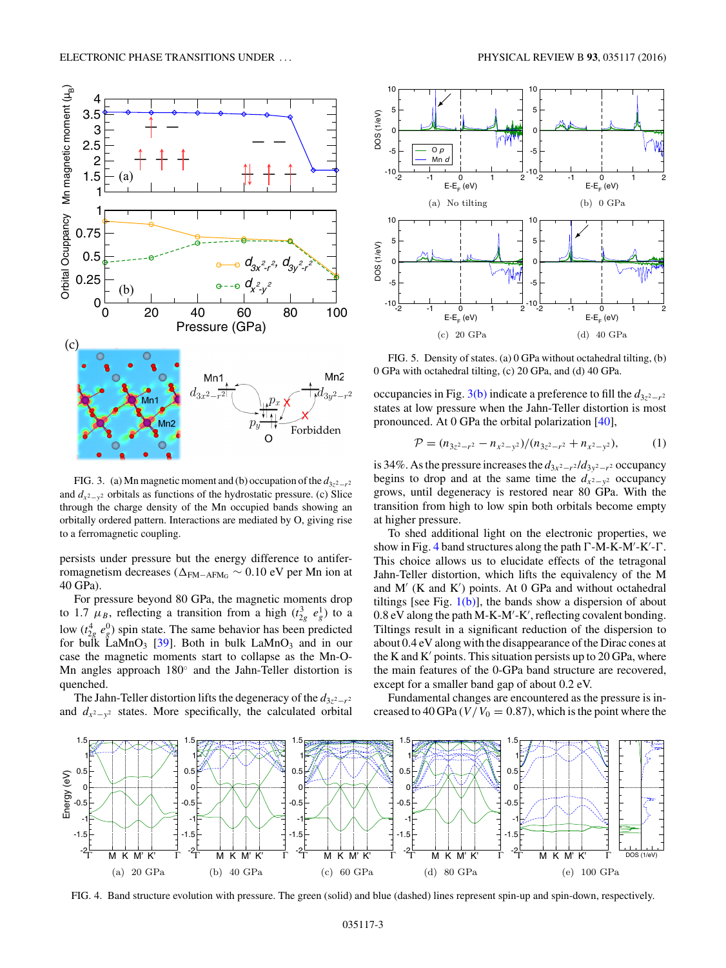<span id="page-2-0"></span>

FIG. 3. (a) Mn magnetic moment and (b) occupation of the  $d_{3z^2-r^2}$ and  $d_{x^2-y^2}$  orbitals as functions of the hydrostatic pressure. (c) Slice through the charge density of the Mn occupied bands showing an orbitally ordered pattern. Interactions are mediated by O, giving rise to a ferromagnetic coupling.

persists under pressure but the energy difference to antiferromagnetism decreases (Δ<sub>FM−AFMG</sub> ~ 0.10 eV per Mn ion at 40 GPa).

For pressure beyond 80 GPa, the magnetic moments drop to 1.7  $\mu_B$ , reflecting a transition from a high  $(t_{2g}^3 e_g^1)$  to a low  $(t_{2g}^4 e_g^0)$  spin state. The same behavior has been predicted for bulk LaMnO<sub>3</sub> [\[39\]](#page-4-0). Both in bulk LaMnO<sub>3</sub> and in our case the magnetic moments start to collapse as the Mn-O-Mn angles approach 180◦ and the Jahn-Teller distortion is quenched.

The Jahn-Teller distortion lifts the degeneracy of the *d*3*z*2−*r*<sup>2</sup> and  $d_{x^2-y^2}$  states. More specifically, the calculated orbital



FIG. 5. Density of states. (a) 0 GPa without octahedral tilting, (b) 0 GPa with octahedral tilting, (c) 20 GPa, and (d) 40 GPa.

occupancies in Fig. 3(b) indicate a preference to fill the  $d_{3z^2-r^2}$ states at low pressure when the Jahn-Teller distortion is most pronounced. At 0 GPa the orbital polarization [\[40\]](#page-4-0),

$$
\mathcal{P} = (n_{3z^2-r^2} - n_{x^2-y^2})/(n_{3z^2-r^2} + n_{x^2-y^2}), \tag{1}
$$

is 34%. As the pressure increases the  $d_{3x^2-r^2}/d_{3y^2-r^2}$  occupancy begins to drop and at the same time the  $d_{x^2-y^2}$  occupancy grows, until degeneracy is restored near 80 GPa. With the transition from high to low spin both orbitals become empty at higher pressure.

To shed additional light on the electronic properties, we show in Fig. 4 band structures along the path  $\Gamma$ -M-K-M'-K'- $\Gamma$ . This choice allows us to elucidate effects of the tetragonal Jahn-Teller distortion, which lifts the equivalency of the M and  $M'$  (K and K') points. At 0 GPa and without octahedral tiltings [see Fig.  $1(b)$ ], the bands show a dispersion of about 0.8 eV along the path M-K-M'-K', reflecting covalent bonding. Tiltings result in a significant reduction of the dispersion to about 0.4 eV along with the disappearance of the Dirac cones at the K and  $K'$  points. This situation persists up to 20 GPa, where the main features of the 0-GPa band structure are recovered, except for a smaller band gap of about 0.2 eV.

Fundamental changes are encountered as the pressure is increased to 40 GPa  $(V/V_0 = 0.87)$ , which is the point where the



FIG. 4. Band structure evolution with pressure. The green (solid) and blue (dashed) lines represent spin-up and spin-down, respectively.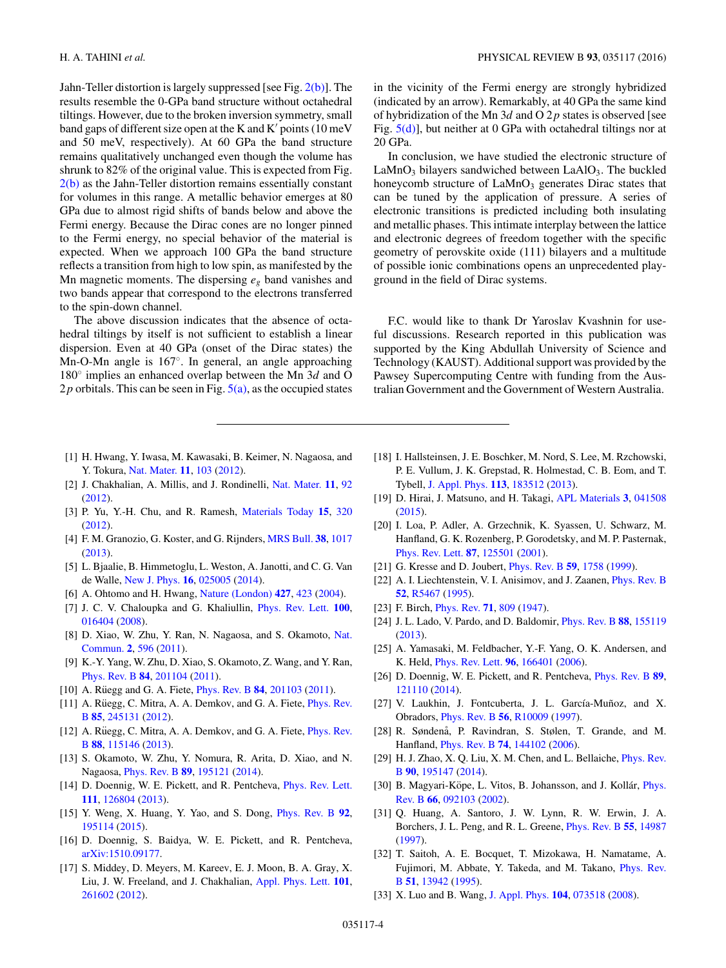<span id="page-3-0"></span>Jahn-Teller distortion is largely suppressed [see Fig. [2\(b\)\]](#page-1-0). The results resemble the 0-GPa band structure without octahedral tiltings. However, due to the broken inversion symmetry, small band gaps of different size open at the K and K' points  $(10 \,\mathrm{meV})$ and 50 meV, respectively). At 60 GPa the band structure remains qualitatively unchanged even though the volume has shrunk to 82% of the original value. This is expected from Fig. [2\(b\)](#page-1-0) as the Jahn-Teller distortion remains essentially constant for volumes in this range. A metallic behavior emerges at 80 GPa due to almost rigid shifts of bands below and above the Fermi energy. Because the Dirac cones are no longer pinned to the Fermi energy, no special behavior of the material is expected. When we approach 100 GPa the band structure reflects a transition from high to low spin, as manifested by the Mn magnetic moments. The dispersing *eg* band vanishes and two bands appear that correspond to the electrons transferred to the spin-down channel.

The above discussion indicates that the absence of octahedral tiltings by itself is not sufficient to establish a linear dispersion. Even at 40 GPa (onset of the Dirac states) the Mn-O-Mn angle is 167◦. In general, an angle approaching 180◦ implies an enhanced overlap between the Mn 3*d* and O 2 $p$  orbitals. This can be seen in Fig.  $5(a)$ , as the occupied states in the vicinity of the Fermi energy are strongly hybridized (indicated by an arrow). Remarkably, at 40 GPa the same kind of hybridization of the Mn 3*d* and O 2*p* states is observed [see Fig.  $5(d)$ ], but neither at 0 GPa with octahedral tiltings nor at 20 GPa.

In conclusion, we have studied the electronic structure of  $LaMnO<sub>3</sub>$  bilayers sandwiched between  $LaAlO<sub>3</sub>$ . The buckled honeycomb structure of  $LaMnO<sub>3</sub>$  generates Dirac states that can be tuned by the application of pressure. A series of electronic transitions is predicted including both insulating and metallic phases. This intimate interplay between the lattice and electronic degrees of freedom together with the specific geometry of perovskite oxide (111) bilayers and a multitude of possible ionic combinations opens an unprecedented playground in the field of Dirac systems.

F.C. would like to thank Dr Yaroslav Kvashnin for useful discussions. Research reported in this publication was supported by the King Abdullah University of Science and Technology (KAUST). Additional support was provided by the Pawsey Supercomputing Centre with funding from the Australian Government and the Government of Western Australia.

- [1] H. Hwang, Y. Iwasa, M. Kawasaki, B. Keimer, N. Nagaosa, and Y. Tokura, [Nat. Mater.](http://dx.doi.org/10.1038/nmat3223) **[11](http://dx.doi.org/10.1038/nmat3223)**, [103](http://dx.doi.org/10.1038/nmat3223) [\(2012\)](http://dx.doi.org/10.1038/nmat3223).
- [2] J. Chakhalian, A. Millis, and J. Rondinelli, [Nat. Mater.](http://dx.doi.org/10.1038/nmat3225) **[11](http://dx.doi.org/10.1038/nmat3225)**, [92](http://dx.doi.org/10.1038/nmat3225) [\(2012\)](http://dx.doi.org/10.1038/nmat3225).
- [3] P. Yu, Y.-H. Chu, and R. Ramesh, [Materials Today](http://dx.doi.org/10.1016/S1369-7021(12)70137-2) **[15](http://dx.doi.org/10.1016/S1369-7021(12)70137-2)**, [320](http://dx.doi.org/10.1016/S1369-7021(12)70137-2) [\(2012\)](http://dx.doi.org/10.1016/S1369-7021(12)70137-2).
- [4] F. M. Granozio, G. Koster, and G. Rijnders, [MRS Bull.](http://dx.doi.org/10.1557/mrs.2013.282) **[38](http://dx.doi.org/10.1557/mrs.2013.282)**, [1017](http://dx.doi.org/10.1557/mrs.2013.282) [\(2013\)](http://dx.doi.org/10.1557/mrs.2013.282).
- [5] L. Bjaalie, B. Himmetoglu, L. Weston, A. Janotti, and C. G. Van de Walle, [New J. Phys.](http://dx.doi.org/10.1088/1367-2630/16/2/025005) **[16](http://dx.doi.org/10.1088/1367-2630/16/2/025005)**, [025005](http://dx.doi.org/10.1088/1367-2630/16/2/025005) [\(2014\)](http://dx.doi.org/10.1088/1367-2630/16/2/025005).
- [6] A. Ohtomo and H. Hwang, [Nature \(London\)](http://dx.doi.org/10.1038/nature02308) **[427](http://dx.doi.org/10.1038/nature02308)**, [423](http://dx.doi.org/10.1038/nature02308) [\(2004\)](http://dx.doi.org/10.1038/nature02308).
- [7] J. C. V. Chaloupka and G. Khaliullin, [Phys. Rev. Lett.](http://dx.doi.org/10.1103/PhysRevLett.100.016404) **[100](http://dx.doi.org/10.1103/PhysRevLett.100.016404)**, [016404](http://dx.doi.org/10.1103/PhysRevLett.100.016404) [\(2008\)](http://dx.doi.org/10.1103/PhysRevLett.100.016404).
- [8] [D. Xiao, W. Zhu, Y. Ran, N. Nagaosa, and S. Okamoto,](http://dx.doi.org/10.1038/ncomms1602) Nat. Commun. **[2](http://dx.doi.org/10.1038/ncomms1602)**, [596](http://dx.doi.org/10.1038/ncomms1602) [\(2011\)](http://dx.doi.org/10.1038/ncomms1602).
- [9] K.-Y. Yang, W. Zhu, D. Xiao, S. Okamoto, Z. Wang, and Y. Ran, [Phys. Rev. B](http://dx.doi.org/10.1103/PhysRevB.84.201104) **[84](http://dx.doi.org/10.1103/PhysRevB.84.201104)**, [201104](http://dx.doi.org/10.1103/PhysRevB.84.201104) [\(2011\)](http://dx.doi.org/10.1103/PhysRevB.84.201104).
- [10] A. Ruegg and G. A. Fiete, *[Phys. Rev. B](http://dx.doi.org/10.1103/PhysRevB.84.201103)* **[84](http://dx.doi.org/10.1103/PhysRevB.84.201103)**, [201103](http://dx.doi.org/10.1103/PhysRevB.84.201103) [\(2011\)](http://dx.doi.org/10.1103/PhysRevB.84.201103).
- [11] A. Rüegg, C. Mitra, A. A. Demkov, and G. A. Fiete, *Phys. Rev.* B **[85](http://dx.doi.org/10.1103/PhysRevB.85.245131)**, [245131](http://dx.doi.org/10.1103/PhysRevB.85.245131) [\(2012\)](http://dx.doi.org/10.1103/PhysRevB.85.245131).
- [12] A. Rüegg, C. Mitra, A. A. Demkov, and G. A. Fiete, *Phys. Rev.* B **[88](http://dx.doi.org/10.1103/PhysRevB.88.115146)**, [115146](http://dx.doi.org/10.1103/PhysRevB.88.115146) [\(2013\)](http://dx.doi.org/10.1103/PhysRevB.88.115146).
- [13] S. Okamoto, W. Zhu, Y. Nomura, R. Arita, D. Xiao, and N. Nagaosa, [Phys. Rev. B](http://dx.doi.org/10.1103/PhysRevB.89.195121) **[89](http://dx.doi.org/10.1103/PhysRevB.89.195121)**, [195121](http://dx.doi.org/10.1103/PhysRevB.89.195121) [\(2014\)](http://dx.doi.org/10.1103/PhysRevB.89.195121).
- [14] D. Doennig, W. E. Pickett, and R. Pentcheva, *[Phys. Rev. Lett.](http://dx.doi.org/10.1103/PhysRevLett.111.126804)* **[111](http://dx.doi.org/10.1103/PhysRevLett.111.126804)**, [126804](http://dx.doi.org/10.1103/PhysRevLett.111.126804) [\(2013\)](http://dx.doi.org/10.1103/PhysRevLett.111.126804).
- [15] Y. Weng, X. Huang, Y. Yao, and S. Dong, [Phys. Rev. B](http://dx.doi.org/10.1103/PhysRevB.92.195114) **[92](http://dx.doi.org/10.1103/PhysRevB.92.195114)**, [195114](http://dx.doi.org/10.1103/PhysRevB.92.195114) [\(2015\)](http://dx.doi.org/10.1103/PhysRevB.92.195114).
- [16] D. Doennig, S. Baidya, W. E. Pickett, and R. Pentcheva, [arXiv:1510.09177.](http://arxiv.org/abs/arXiv:1510.09177)
- [17] S. Middey, D. Meyers, M. Kareev, E. J. Moon, B. A. Gray, X. Liu, J. W. Freeland, and J. Chakhalian, [Appl. Phys. Lett.](http://dx.doi.org/10.1063/1.4773375) **[101](http://dx.doi.org/10.1063/1.4773375)**, [261602](http://dx.doi.org/10.1063/1.4773375) [\(2012\)](http://dx.doi.org/10.1063/1.4773375).
- [18] I. Hallsteinsen, J. E. Boschker, M. Nord, S. Lee, M. Rzchowski, P. E. Vullum, J. K. Grepstad, R. Holmestad, C. B. Eom, and T. Tybell, [J. Appl. Phys.](http://dx.doi.org/10.1063/1.4804312) **[113](http://dx.doi.org/10.1063/1.4804312)**, [183512](http://dx.doi.org/10.1063/1.4804312) [\(2013\)](http://dx.doi.org/10.1063/1.4804312).
- [19] D. Hirai, J. Matsuno, and H. Takagi, [APL Materials](http://dx.doi.org/10.1063/1.4913389) **[3](http://dx.doi.org/10.1063/1.4913389)**, [041508](http://dx.doi.org/10.1063/1.4913389) [\(2015\)](http://dx.doi.org/10.1063/1.4913389).
- [20] I. Loa, P. Adler, A. Grzechnik, K. Syassen, U. Schwarz, M. Hanfland, G. K. Rozenberg, P. Gorodetsky, and M. P. Pasternak, [Phys. Rev. Lett.](http://dx.doi.org/10.1103/PhysRevLett.87.125501) **[87](http://dx.doi.org/10.1103/PhysRevLett.87.125501)**, [125501](http://dx.doi.org/10.1103/PhysRevLett.87.125501) [\(2001\)](http://dx.doi.org/10.1103/PhysRevLett.87.125501).
- [21] G. Kresse and D. Joubert, [Phys. Rev. B](http://dx.doi.org/10.1103/PhysRevB.59.1758) **[59](http://dx.doi.org/10.1103/PhysRevB.59.1758)**, [1758](http://dx.doi.org/10.1103/PhysRevB.59.1758) [\(1999\)](http://dx.doi.org/10.1103/PhysRevB.59.1758).
- [22] A. I. Liechtenstein, V. I. Anisimov, and J. Zaanen, *[Phys. Rev. B](http://dx.doi.org/10.1103/PhysRevB.52.R5467)* **[52](http://dx.doi.org/10.1103/PhysRevB.52.R5467)**, [R5467](http://dx.doi.org/10.1103/PhysRevB.52.R5467) [\(1995\)](http://dx.doi.org/10.1103/PhysRevB.52.R5467).
- [23] F. Birch, [Phys. Rev.](http://dx.doi.org/10.1103/PhysRev.71.809) **[71](http://dx.doi.org/10.1103/PhysRev.71.809)**, [809](http://dx.doi.org/10.1103/PhysRev.71.809) [\(1947\)](http://dx.doi.org/10.1103/PhysRev.71.809).
- [24] J. L. Lado, V. Pardo, and D. Baldomir, [Phys. Rev. B](http://dx.doi.org/10.1103/PhysRevB.88.155119) **[88](http://dx.doi.org/10.1103/PhysRevB.88.155119)**, [155119](http://dx.doi.org/10.1103/PhysRevB.88.155119) [\(2013\)](http://dx.doi.org/10.1103/PhysRevB.88.155119).
- [25] A. Yamasaki, M. Feldbacher, Y.-F. Yang, O. K. Andersen, and K. Held, [Phys. Rev. Lett.](http://dx.doi.org/10.1103/PhysRevLett.96.166401) **[96](http://dx.doi.org/10.1103/PhysRevLett.96.166401)**, [166401](http://dx.doi.org/10.1103/PhysRevLett.96.166401) [\(2006\)](http://dx.doi.org/10.1103/PhysRevLett.96.166401).
- [26] D. Doennig, W. E. Pickett, and R. Pentcheva, [Phys. Rev. B](http://dx.doi.org/10.1103/PhysRevB.89.121110) **[89](http://dx.doi.org/10.1103/PhysRevB.89.121110)**, [121110](http://dx.doi.org/10.1103/PhysRevB.89.121110) [\(2014\)](http://dx.doi.org/10.1103/PhysRevB.89.121110).
- [27] V. Laukhin, J. Fontcuberta, J. L. García-Muñoz, and X. Obradors, [Phys. Rev. B](http://dx.doi.org/10.1103/PhysRevB.56.R10009) **[56](http://dx.doi.org/10.1103/PhysRevB.56.R10009)**, [R10009](http://dx.doi.org/10.1103/PhysRevB.56.R10009) [\(1997\)](http://dx.doi.org/10.1103/PhysRevB.56.R10009).
- [28] R. Søndenå, P. Ravindran, S. Stølen, T. Grande, and M. Hanfland, [Phys. Rev. B](http://dx.doi.org/10.1103/PhysRevB.74.144102) **[74](http://dx.doi.org/10.1103/PhysRevB.74.144102)**, [144102](http://dx.doi.org/10.1103/PhysRevB.74.144102) [\(2006\)](http://dx.doi.org/10.1103/PhysRevB.74.144102).
- [29] [H. J. Zhao, X. Q. Liu, X. M. Chen, and L. Bellaiche,](http://dx.doi.org/10.1103/PhysRevB.90.195147) *Phys. Rev.* B **[90](http://dx.doi.org/10.1103/PhysRevB.90.195147)**, [195147](http://dx.doi.org/10.1103/PhysRevB.90.195147) [\(2014\)](http://dx.doi.org/10.1103/PhysRevB.90.195147).
- [30] B. Magyari-Köpe, L. Vitos, B. Johansson, and J. Kollár, *Phys.* Rev. B **[66](http://dx.doi.org/10.1103/PhysRevB.66.092103)**, [092103](http://dx.doi.org/10.1103/PhysRevB.66.092103) [\(2002\)](http://dx.doi.org/10.1103/PhysRevB.66.092103).
- [31] Q. Huang, A. Santoro, J. W. Lynn, R. W. Erwin, J. A. Borchers, J. L. Peng, and R. L. Greene, [Phys. Rev. B](http://dx.doi.org/10.1103/PhysRevB.55.14987) **[55](http://dx.doi.org/10.1103/PhysRevB.55.14987)**, [14987](http://dx.doi.org/10.1103/PhysRevB.55.14987) [\(1997\)](http://dx.doi.org/10.1103/PhysRevB.55.14987).
- [32] T. Saitoh, A. E. Bocquet, T. Mizokawa, H. Namatame, A. [Fujimori, M. Abbate, Y. Takeda, and M. Takano,](http://dx.doi.org/10.1103/PhysRevB.51.13942) Phys. Rev. B **[51](http://dx.doi.org/10.1103/PhysRevB.51.13942)**, [13942](http://dx.doi.org/10.1103/PhysRevB.51.13942) [\(1995\)](http://dx.doi.org/10.1103/PhysRevB.51.13942).
- [33] X. Luo and B. Wang, [J. Appl. Phys.](http://dx.doi.org/10.1063/1.2990068) **[104](http://dx.doi.org/10.1063/1.2990068)**, [073518](http://dx.doi.org/10.1063/1.2990068) [\(2008\)](http://dx.doi.org/10.1063/1.2990068).